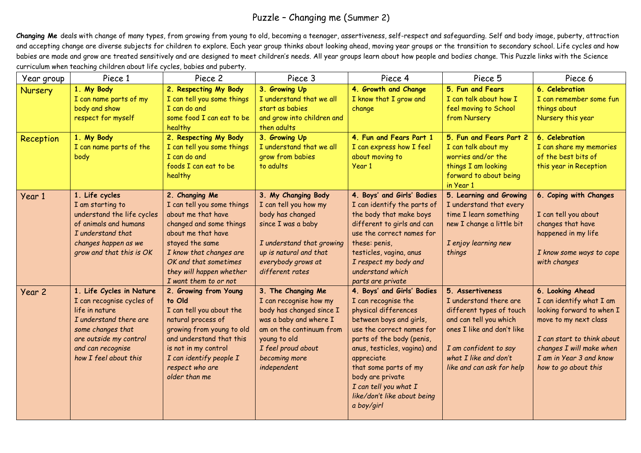## Puzzle – Changing me (Summer 2)

**Changing Me** deals with change of many types, from growing from young to old, becoming a teenager, assertiveness, self-respect and safeguarding. Self and body image, puberty, attraction and accepting change are diverse subjects for children to explore. Each year group thinks about looking ahead, moving year groups or the transition to secondary school. Life cycles and how babies are made and grow are treated sensitively and are designed to meet children's needs. All year groups learn about how people and bodies change. This Puzzle links with the Science curriculum when teaching children about life cycles, babies and puberty.

| Year group     | Piece 1                    | Piece 2                                           | Piece 3                    | Piece 4                               | Piece 5                    | Piece 6                    |
|----------------|----------------------------|---------------------------------------------------|----------------------------|---------------------------------------|----------------------------|----------------------------|
| <b>Nursery</b> | 1. My Body                 | 2. Respecting My Body                             | 3. Growing Up              | 4. Growth and Change                  | 5. Fun and Fears           | 6. Celebration             |
|                | I can name parts of my     | I can tell you some things                        | I understand that we all   | I know that I grow and                | I can talk about how I     | I can remember some fun    |
|                | body and show              | I can do and                                      | start as babies            | change                                | feel moving to School      | things about               |
|                | respect for myself         | some food I can eat to be                         | and grow into children and |                                       | from Nursery               | Nursery this year          |
|                |                            | healthy                                           | then adults                |                                       |                            |                            |
| Reception      | 1. My Body                 | 2. Respecting My Body                             | 3. Growing Up              | 4. Fun and Fears Part 1               | 5. Fun and Fears Part 2    | 6. Celebration             |
|                | I can name parts of the    | I can tell you some things                        | I understand that we all   | I can express how I feel              | I can talk about my        | I can share my memories    |
|                | body                       | I can do and                                      | grow from babies           | about moving to                       | worries and/or the         | of the best bits of        |
|                |                            | foods I can eat to be                             | to adults                  | Year 1                                | things I am looking        | this year in Reception     |
|                |                            | healthy                                           |                            |                                       | forward to about being     |                            |
|                |                            |                                                   |                            |                                       | in Year 1                  |                            |
| Year 1         | 1. Life cycles             | 2. Changing Me                                    | 3. My Changing Body        | 4. Boys' and Girls' Bodies            | 5. Learning and Growing    | 6. Coping with Changes     |
|                | I am starting to           | I can tell you some things                        | I can tell you how my      | I can identify the parts of           | I understand that every    |                            |
|                | understand the life cycles | about me that have                                | body has changed           | the body that make boys               | time I learn something     | I can tell you about       |
|                | of animals and humans      | changed and some things                           | since I was a baby         | different to girls and can            | new I change a little bit  | changes that have          |
|                | I understand that          | about me that have                                |                            | use the correct names for             |                            | happened in my life        |
|                | changes happen as we       | stayed the same                                   | I understand that growing  | these: penis,                         | I enjoy learning new       |                            |
|                | grow and that this is OK   | I know that changes are                           | up is natural and that     | testicles, vagina, anus               | things                     | I know some ways to cope   |
|                |                            | OK and that sometimes                             | everybody grows at         | I respect my body and                 |                            | with changes               |
|                |                            | they will happen whether<br>I want them to or not | different rates            | understand which<br>parts are private |                            |                            |
|                | 1. Life Cycles in Nature   | 2. Growing from Young                             | 3. The Changing Me         | 4. Boys' and Girls' Bodies            | 5. Assertiveness           | 6. Looking Ahead           |
| Year 2         | I can recognise cycles of  | to Old                                            | I can recognise how my     | I can recognise the                   | I understand there are     | I can identify what I am   |
|                | life in nature             | I can tell you about the                          | body has changed since I   | physical differences                  | different types of touch   | looking forward to when I  |
|                | I understand there are     | natural process of                                | was a baby and where I     | between boys and girls,               | and can tell you which     | move to my next class      |
|                | some changes that          | growing from young to old                         | am on the continuum from   | use the correct names for             | ones I like and don't like |                            |
|                | are outside my control     | and understand that this                          | young to old               | parts of the body (penis,             |                            | I can start to think about |
|                | and can recognise          | is not in my control                              | I feel proud about         | anus, testicles, vagina) and          | I am confident to say      | changes I will make when   |
|                | how I feel about this      | I can identify people I                           | becoming more              | appreciate                            | what I like and don't      | I am in Year 3 and know    |
|                |                            | respect who are                                   | independent                | that some parts of my                 | like and can ask for help  | how to go about this       |
|                |                            | older than me                                     |                            | body are private                      |                            |                            |
|                |                            |                                                   |                            | I can tell you what I                 |                            |                            |
|                |                            |                                                   |                            | like/don't like about being           |                            |                            |
|                |                            |                                                   |                            | a boy/girl                            |                            |                            |
|                |                            |                                                   |                            |                                       |                            |                            |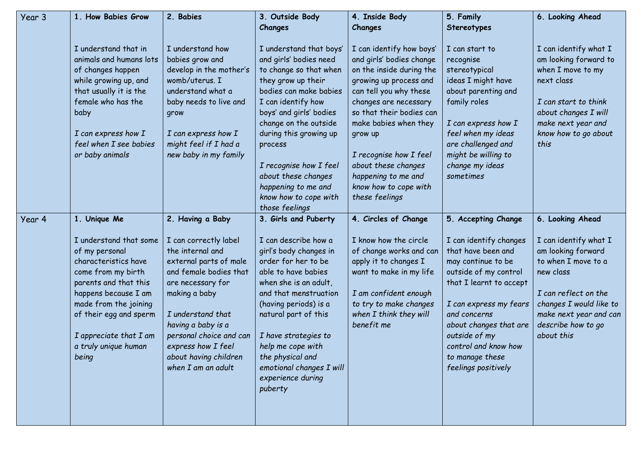| Year 3 | 1. How Babies Grow                                                                                                                                                                                                                                    | 2. Babies                                                                                                                                                                                                                                                                      | 3. Outside Body                                                                                                                                                                                                                                                                                                              | 4. Inside Body                                                                                                                                                                                                     | 5. Family                                                                                                                                                                                                                                                                     | 6. Looking Ahead                                                                                                                                                                                 |
|--------|-------------------------------------------------------------------------------------------------------------------------------------------------------------------------------------------------------------------------------------------------------|--------------------------------------------------------------------------------------------------------------------------------------------------------------------------------------------------------------------------------------------------------------------------------|------------------------------------------------------------------------------------------------------------------------------------------------------------------------------------------------------------------------------------------------------------------------------------------------------------------------------|--------------------------------------------------------------------------------------------------------------------------------------------------------------------------------------------------------------------|-------------------------------------------------------------------------------------------------------------------------------------------------------------------------------------------------------------------------------------------------------------------------------|--------------------------------------------------------------------------------------------------------------------------------------------------------------------------------------------------|
|        |                                                                                                                                                                                                                                                       |                                                                                                                                                                                                                                                                                | Changes                                                                                                                                                                                                                                                                                                                      | Changes                                                                                                                                                                                                            | Stereotypes                                                                                                                                                                                                                                                                   |                                                                                                                                                                                                  |
|        | I understand that in<br>animals and humans lots<br>of changes happen<br>while growing up, and<br>that usually it is the<br>female who has the<br>baby                                                                                                 | I understand how<br>babies grow and<br>develop in the mother's<br>womb/uterus. I<br>understand what a<br>baby needs to live and<br>grow                                                                                                                                        | I understand that boys'<br>and girls' bodies need<br>to change so that when<br>they grow up their<br>bodies can make babies<br>I can identify how<br>boys' and girls' bodies<br>change on the outside                                                                                                                        | I can identify how boys'<br>and girls' bodies change<br>on the inside during the<br>growing up process and<br>can tell you why these<br>changes are necessary<br>so that their bodies can<br>make babies when they | I can start to<br>recognise<br>stereotypical<br>ideas I might have<br>about parenting and<br>family roles<br>I can express how I                                                                                                                                              | I can identify what I<br>am looking forward to<br>when I move to my<br>next class<br>I can start to think<br>about changes I will<br>make next year and                                          |
|        | I can express how I                                                                                                                                                                                                                                   | I can express how I                                                                                                                                                                                                                                                            | during this growing up                                                                                                                                                                                                                                                                                                       | grow up                                                                                                                                                                                                            | feel when my ideas                                                                                                                                                                                                                                                            | know how to go about                                                                                                                                                                             |
|        | feel when I see babies<br>or baby animals                                                                                                                                                                                                             | might feel if I had a<br>new baby in my family                                                                                                                                                                                                                                 | process<br>I recognise how I feel<br>about these changes<br>happening to me and<br>know how to cope with<br>those feelings                                                                                                                                                                                                   | I recognise how I feel<br>about these changes<br>happening to me and<br>know how to cope with<br>these feelings                                                                                                    | are challenged and<br>might be willing to<br>change my ideas<br>sometimes                                                                                                                                                                                                     | this                                                                                                                                                                                             |
| Year 4 | 1. Unique Me                                                                                                                                                                                                                                          | 2. Having a Baby                                                                                                                                                                                                                                                               | 3. Girls and Puberty                                                                                                                                                                                                                                                                                                         | 4. Circles of Change                                                                                                                                                                                               | 5. Accepting Change                                                                                                                                                                                                                                                           | 6. Looking Ahead                                                                                                                                                                                 |
|        | I understand that some<br>of my personal<br>characteristics have<br>come from my birth<br>parents and that this<br>happens because I am<br>made from the joining<br>of their egg and sperm<br>I appreciate that I am<br>a truly unique human<br>being | I can correctly label<br>the internal and<br>external parts of male<br>and female bodies that<br>are necessary for<br>making a baby<br>I understand that<br>having a baby is a<br>personal choice and can<br>express how I feel<br>about having children<br>when I am an adult | I can describe how a<br>girl's body changes in<br>order for her to be<br>able to have babies<br>when she is an adult,<br>and that menstruation<br>(having periods) is a<br>natural part of this<br>I have strategies to<br>help me cope with<br>the physical and<br>emotional changes I will<br>experience during<br>puberty | I know how the circle<br>of change works and can<br>apply it to changes I<br>want to make in my life<br>I am confident enough<br>to try to make changes<br>when I think they will<br>benefit me                    | I can identify changes<br>that have been and<br>may continue to be<br>outside of my control<br>that I learnt to accept<br>I can express my fears<br>and concerns<br>about changes that are<br>outside of my<br>control and know how<br>to manage these<br>feelings positively | I can identify what I<br>am looking forward<br>to when I move to a<br>new class<br>I can reflect on the<br>changes I would like to<br>make next year and can<br>describe how to go<br>about this |